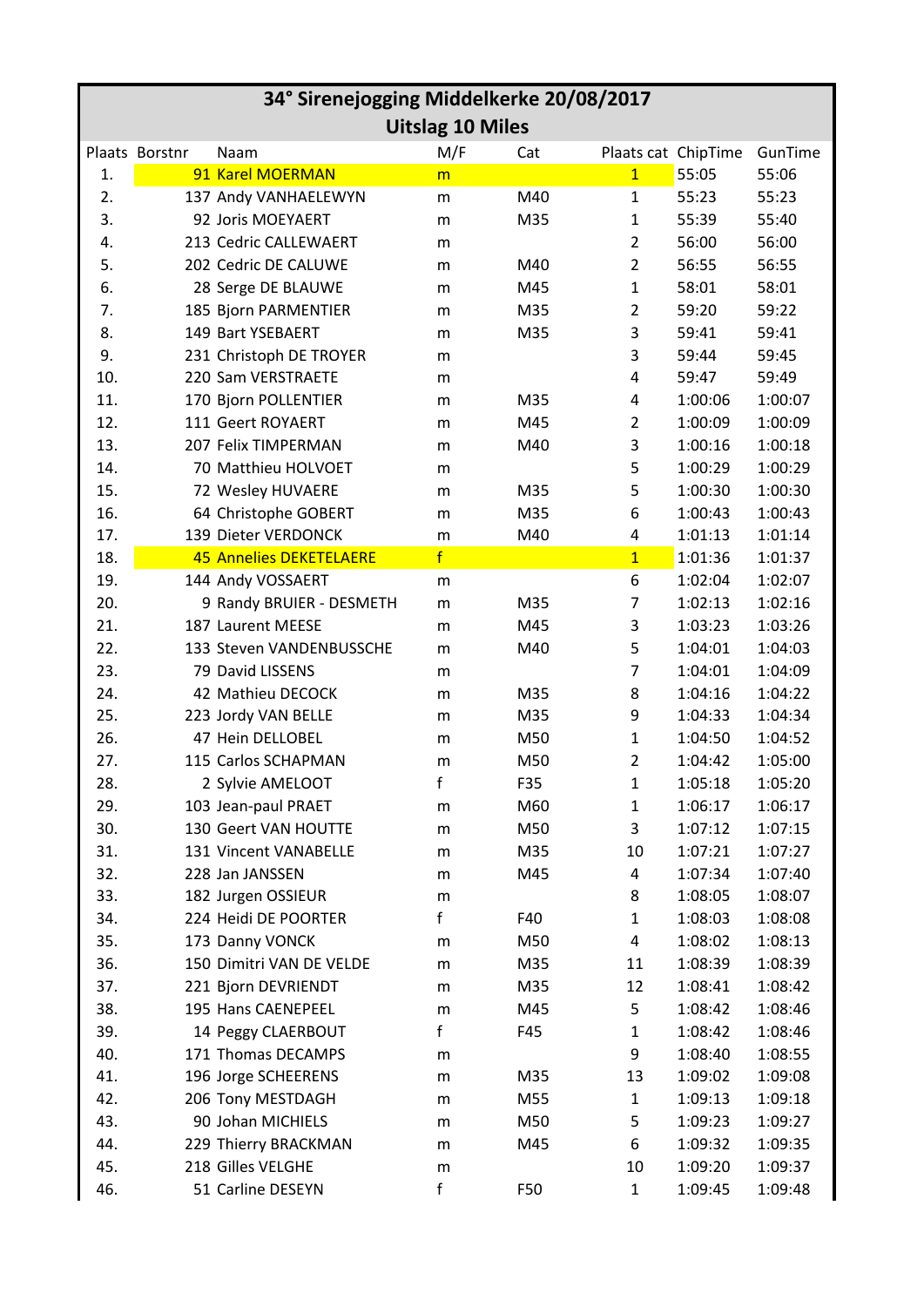| 34° Sirenejogging Middelkerke 20/08/2017 |                |                                |           |     |                     |         |         |  |
|------------------------------------------|----------------|--------------------------------|-----------|-----|---------------------|---------|---------|--|
| <b>Uitslag 10 Miles</b>                  |                |                                |           |     |                     |         |         |  |
|                                          | Plaats Borstnr | Naam                           | M/F       | Cat | Plaats cat ChipTime |         | GunTime |  |
| 1.                                       |                | 91 Karel MOERMAN               | m         |     | $\overline{1}$      | 55:05   | 55:06   |  |
| 2.                                       |                | 137 Andy VANHAELEWYN           | m         | M40 | $\mathbf{1}$        | 55:23   | 55:23   |  |
| 3.                                       |                | 92 Joris MOEYAERT              | m         | M35 | 1                   | 55:39   | 55:40   |  |
| 4.                                       |                | 213 Cedric CALLEWAERT          | m         |     | $\overline{2}$      | 56:00   | 56:00   |  |
| 5.                                       |                | 202 Cedric DE CALUWE           | m         | M40 | $\overline{2}$      | 56:55   | 56:55   |  |
| 6.                                       |                | 28 Serge DE BLAUWE             | m         | M45 | $\mathbf{1}$        | 58:01   | 58:01   |  |
| 7.                                       |                | 185 Bjorn PARMENTIER           | m         | M35 | $\overline{2}$      | 59:20   | 59:22   |  |
| 8.                                       |                | 149 Bart YSEBAERT              | m         | M35 | 3                   | 59:41   | 59:41   |  |
| 9.                                       |                | 231 Christoph DE TROYER        | m         |     | 3                   | 59:44   | 59:45   |  |
| 10.                                      |                | 220 Sam VERSTRAETE             | m         |     | 4                   | 59:47   | 59:49   |  |
| 11.                                      |                | 170 Bjorn POLLENTIER           | m         | M35 | 4                   | 1:00:06 | 1:00:07 |  |
| 12.                                      |                | 111 Geert ROYAERT              | m         | M45 | $\overline{2}$      | 1:00:09 | 1:00:09 |  |
| 13.                                      |                | 207 Felix TIMPERMAN            | m         | M40 | 3                   | 1:00:16 | 1:00:18 |  |
| 14.                                      |                | 70 Matthieu HOLVOET            | m         |     | 5                   | 1:00:29 | 1:00:29 |  |
| 15.                                      |                | 72 Wesley HUVAERE              | m         | M35 | 5                   | 1:00:30 | 1:00:30 |  |
| 16.                                      |                | 64 Christophe GOBERT           | m         | M35 | 6                   | 1:00:43 | 1:00:43 |  |
| 17.                                      |                | 139 Dieter VERDONCK            | m         | M40 | 4                   | 1:01:13 | 1:01:14 |  |
| 18.                                      |                | <b>45 Annelies DEKETELAERE</b> | f         |     | $\overline{1}$      | 1:01:36 | 1:01:37 |  |
| 19.                                      |                | 144 Andy VOSSAERT              | m         |     | 6                   | 1:02:04 | 1:02:07 |  |
| 20.                                      |                | 9 Randy BRUIER - DESMETH       | ${\sf m}$ | M35 | 7                   | 1:02:13 | 1:02:16 |  |
| 21.                                      |                | 187 Laurent MEESE              | m         | M45 | 3                   | 1:03:23 | 1:03:26 |  |
| 22.                                      |                | 133 Steven VANDENBUSSCHE       | m         | M40 | 5                   | 1:04:01 | 1:04:03 |  |
| 23.                                      |                | 79 David LISSENS               | m         |     | 7                   | 1:04:01 | 1:04:09 |  |
| 24.                                      |                | 42 Mathieu DECOCK              | m         | M35 | 8                   | 1:04:16 | 1:04:22 |  |
| 25.                                      |                | 223 Jordy VAN BELLE            | m         | M35 | 9                   | 1:04:33 | 1:04:34 |  |
| 26.                                      |                | 47 Hein DELLOBEL               | m         | M50 | 1                   | 1:04:50 | 1:04:52 |  |
| 27.                                      |                | 115 Carlos SCHAPMAN            | m         | M50 | $\overline{2}$      | 1:04:42 | 1:05:00 |  |
| 28.                                      |                | 2 Sylvie AMELOOT               | f         | F35 | 1                   | 1:05:18 | 1:05:20 |  |
| 29.                                      |                | 103 Jean-paul PRAET            | m         | M60 | 1                   | 1:06:17 | 1:06:17 |  |
| 30.                                      |                | 130 Geert VAN HOUTTE           | ${\sf m}$ | M50 | 3                   | 1:07:12 | 1:07:15 |  |
| 31.                                      |                | 131 Vincent VANABELLE          | m         | M35 | 10                  | 1:07:21 | 1:07:27 |  |
| 32.                                      |                | 228 Jan JANSSEN                | ${\sf m}$ | M45 | 4                   | 1:07:34 | 1:07:40 |  |
| 33.                                      |                | 182 Jurgen OSSIEUR             | ${\sf m}$ |     | 8                   | 1:08:05 | 1:08:07 |  |
| 34.                                      |                | 224 Heidi DE POORTER           | f         | F40 | 1                   | 1:08:03 | 1:08:08 |  |
| 35.                                      |                | 173 Danny VONCK                | m         | M50 | 4                   | 1:08:02 | 1:08:13 |  |
| 36.                                      |                | 150 Dimitri VAN DE VELDE       | m         | M35 | 11                  | 1:08:39 | 1:08:39 |  |
| 37.                                      |                | 221 Bjorn DEVRIENDT            | ${\sf m}$ | M35 | 12                  | 1:08:41 | 1:08:42 |  |
| 38.                                      |                | 195 Hans CAENEPEEL             | m         | M45 | 5                   | 1:08:42 | 1:08:46 |  |
| 39.                                      |                | 14 Peggy CLAERBOUT             | f         | F45 | 1                   | 1:08:42 | 1:08:46 |  |
| 40.                                      |                | 171 Thomas DECAMPS             | m         |     | 9                   | 1:08:40 | 1:08:55 |  |
| 41.                                      |                | 196 Jorge SCHEERENS            | m         | M35 | 13                  | 1:09:02 | 1:09:08 |  |
| 42.                                      |                | 206 Tony MESTDAGH              | ${\sf m}$ | M55 | 1                   | 1:09:13 | 1:09:18 |  |
| 43.                                      |                | 90 Johan MICHIELS              | m         | M50 | 5                   | 1:09:23 | 1:09:27 |  |
| 44.                                      |                | 229 Thierry BRACKMAN           | m         | M45 | 6                   | 1:09:32 | 1:09:35 |  |
| 45.                                      |                | 218 Gilles VELGHE              | m         |     | 10                  | 1:09:20 | 1:09:37 |  |
| 46.                                      |                | 51 Carline DESEYN              | f         | F50 | 1                   | 1:09:45 | 1:09:48 |  |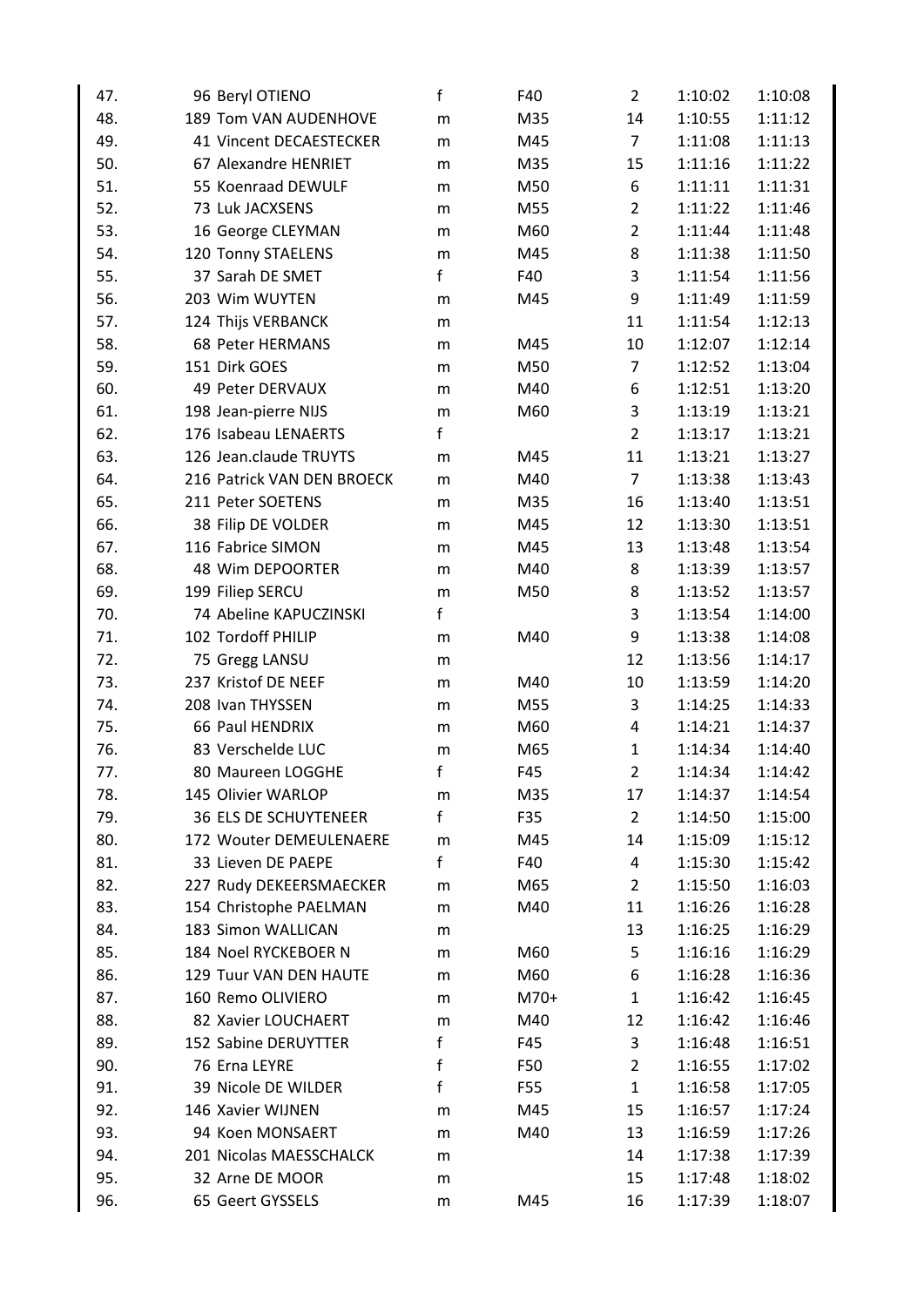| 47. | 96 Beryl OTIENO              | f         | F40  | $\overline{2}$ | 1:10:02 | 1:10:08 |
|-----|------------------------------|-----------|------|----------------|---------|---------|
| 48. | 189 Tom VAN AUDENHOVE        | m         | M35  | 14             | 1:10:55 | 1:11:12 |
| 49. | 41 Vincent DECAESTECKER      | ${\sf m}$ | M45  | $\overline{7}$ | 1:11:08 | 1:11:13 |
| 50. | 67 Alexandre HENRIET         | m         | M35  | 15             | 1:11:16 | 1:11:22 |
| 51. | 55 Koenraad DEWULF           | m         | M50  | 6              | 1:11:11 | 1:11:31 |
| 52. | 73 Luk JACXSENS              | m         | M55  | $\overline{2}$ | 1:11:22 | 1:11:46 |
| 53. | 16 George CLEYMAN            | m         | M60  | $\overline{2}$ | 1:11:44 | 1:11:48 |
| 54. | 120 Tonny STAELENS           | m         | M45  | 8              | 1:11:38 | 1:11:50 |
| 55. | 37 Sarah DE SMET             | f         | F40  | 3              | 1:11:54 | 1:11:56 |
| 56. | 203 Wim WUYTEN               | m         | M45  | 9              | 1:11:49 | 1:11:59 |
| 57. | 124 Thijs VERBANCK           | m         |      | 11             | 1:11:54 | 1:12:13 |
| 58. | 68 Peter HERMANS             | m         | M45  | 10             | 1:12:07 | 1:12:14 |
| 59. | 151 Dirk GOES                | m         | M50  | $\overline{7}$ | 1:12:52 | 1:13:04 |
| 60. | 49 Peter DERVAUX             | m         | M40  | 6              | 1:12:51 | 1:13:20 |
| 61. | 198 Jean-pierre NIJS         | ${\sf m}$ | M60  | 3              | 1:13:19 | 1:13:21 |
| 62. | 176 Isabeau LENAERTS         | f         |      | $\overline{2}$ | 1:13:17 | 1:13:21 |
| 63. | 126 Jean.claude TRUYTS       | m         | M45  | 11             | 1:13:21 | 1:13:27 |
| 64. | 216 Patrick VAN DEN BROECK   | m         | M40  | $\overline{7}$ | 1:13:38 | 1:13:43 |
| 65. | 211 Peter SOETENS            | m         | M35  | 16             | 1:13:40 | 1:13:51 |
| 66. | 38 Filip DE VOLDER           | m         | M45  | 12             | 1:13:30 | 1:13:51 |
| 67. | 116 Fabrice SIMON            | m         | M45  | 13             | 1:13:48 | 1:13:54 |
| 68. | 48 Wim DEPOORTER             | m         | M40  | 8              | 1:13:39 | 1:13:57 |
| 69. | 199 Filiep SERCU             | ${\sf m}$ | M50  | 8              | 1:13:52 | 1:13:57 |
| 70. | 74 Abeline KAPUCZINSKI       | f         |      | 3              | 1:13:54 | 1:14:00 |
| 71. | 102 Tordoff PHILIP           | m         | M40  | 9              | 1:13:38 | 1:14:08 |
| 72. | 75 Gregg LANSU               | m         |      | 12             | 1:13:56 | 1:14:17 |
| 73. | 237 Kristof DE NEEF          | m         | M40  | 10             | 1:13:59 | 1:14:20 |
| 74. | 208 Ivan THYSSEN             | m         | M55  | 3              | 1:14:25 | 1:14:33 |
| 75. | 66 Paul HENDRIX              | m         | M60  | 4              | 1:14:21 | 1:14:37 |
| 76. | 83 Verschelde LUC            | m         | M65  | $\mathbf{1}$   | 1:14:34 | 1:14:40 |
| 77. | 80 Maureen LOGGHE            | f         | F45  | $\overline{2}$ | 1:14:34 | 1:14:42 |
| 78. | 145 Olivier WARLOP           | m         | M35  | 17             | 1:14:37 | 1:14:54 |
| 79. | <b>36 ELS DE SCHUYTENEER</b> | f         | F35  | $\overline{2}$ | 1:14:50 | 1:15:00 |
| 80. | 172 Wouter DEMEULENAERE      | m         | M45  | 14             | 1:15:09 | 1:15:12 |
| 81. | 33 Lieven DE PAEPE           | f         | F40  | 4              | 1:15:30 | 1:15:42 |
| 82. | 227 Rudy DEKEERSMAECKER      | m         | M65  | $\overline{2}$ | 1:15:50 | 1:16:03 |
| 83. | 154 Christophe PAELMAN       | m         | M40  | 11             | 1:16:26 | 1:16:28 |
| 84. | 183 Simon WALLICAN           | m         |      | 13             | 1:16:25 | 1:16:29 |
| 85. | 184 Noel RYCKEBOER N         | m         | M60  | 5              | 1:16:16 | 1:16:29 |
| 86. | 129 Tuur VAN DEN HAUTE       | m         | M60  | 6              | 1:16:28 | 1:16:36 |
| 87. | 160 Remo OLIVIERO            | m         | M70+ | $\mathbf{1}$   | 1:16:42 | 1:16:45 |
| 88. | 82 Xavier LOUCHAERT          | m         | M40  | 12             | 1:16:42 | 1:16:46 |
| 89. | 152 Sabine DERUYTTER         | f         | F45  | 3              | 1:16:48 | 1:16:51 |
| 90. | 76 Erna LEYRE                | f         | F50  | $\overline{2}$ | 1:16:55 | 1:17:02 |
| 91. | 39 Nicole DE WILDER          | f         | F55  | $\mathbf 1$    | 1:16:58 | 1:17:05 |
| 92. | 146 Xavier WIJNEN            | m         | M45  | 15             | 1:16:57 | 1:17:24 |
| 93. | 94 Koen MONSAERT             | m         | M40  | 13             | 1:16:59 | 1:17:26 |
| 94. | 201 Nicolas MAESSCHALCK      | m         |      | 14             | 1:17:38 | 1:17:39 |
| 95. | 32 Arne DE MOOR              | m         |      | 15             | 1:17:48 | 1:18:02 |
| 96. | 65 Geert GYSSELS             | m         | M45  | 16             | 1:17:39 | 1:18:07 |
|     |                              |           |      |                |         |         |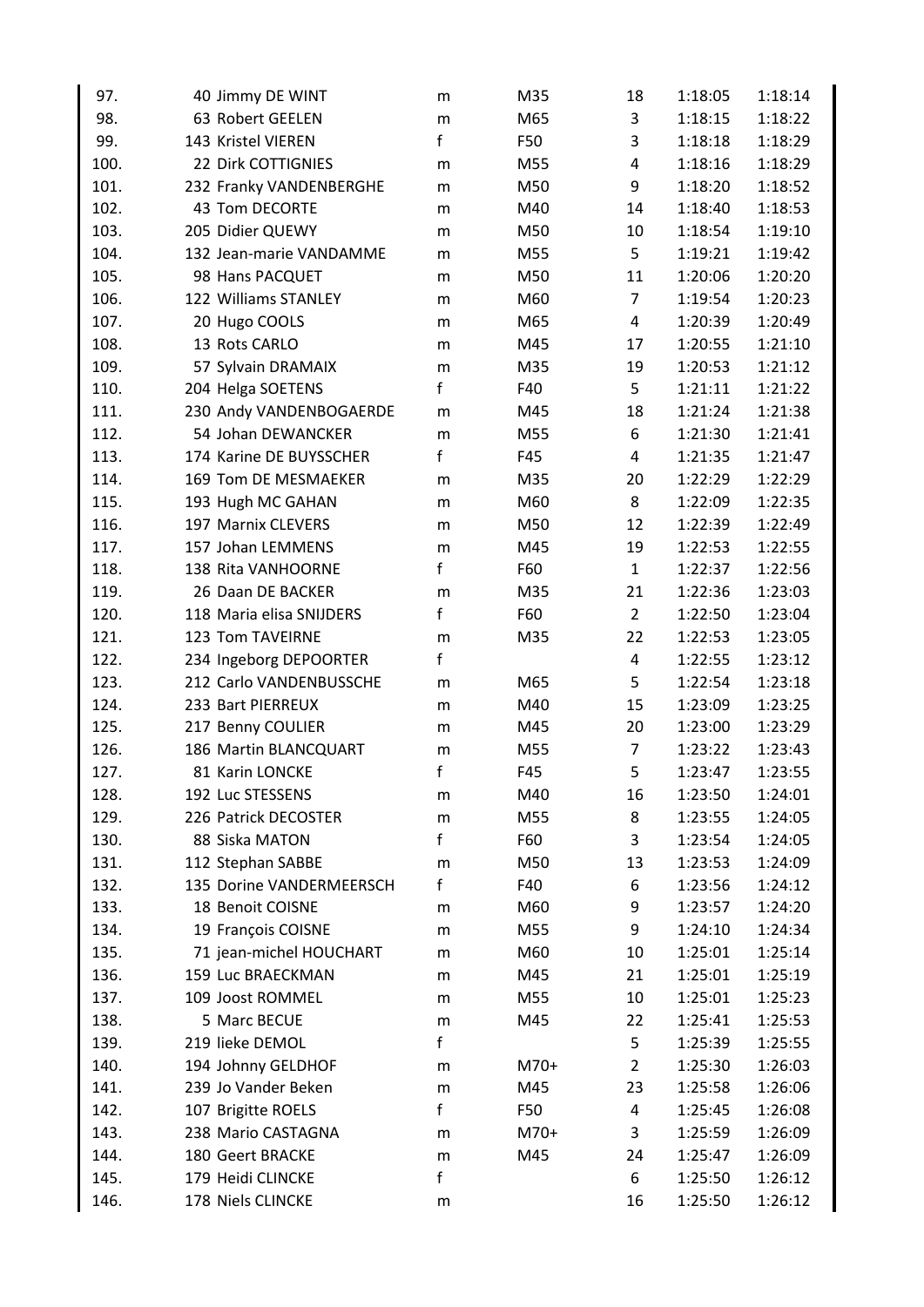| 97.  | 40 Jimmy DE WINT         | m         | M35  | 18             | 1:18:05 | 1:18:14 |
|------|--------------------------|-----------|------|----------------|---------|---------|
| 98.  | 63 Robert GEELEN         | m         | M65  | 3              | 1:18:15 | 1:18:22 |
| 99.  | 143 Kristel VIEREN       | f         | F50  | 3              | 1:18:18 | 1:18:29 |
| 100. | 22 Dirk COTTIGNIES       | m         | M55  | 4              | 1:18:16 | 1:18:29 |
| 101. | 232 Franky VANDENBERGHE  | m         | M50  | 9              | 1:18:20 | 1:18:52 |
| 102. | 43 Tom DECORTE           | m         | M40  | 14             | 1:18:40 | 1:18:53 |
| 103. | 205 Didier QUEWY         | m         | M50  | 10             | 1:18:54 | 1:19:10 |
| 104. | 132 Jean-marie VANDAMME  | m         | M55  | 5              | 1:19:21 | 1:19:42 |
| 105. | 98 Hans PACQUET          | m         | M50  | 11             | 1:20:06 | 1:20:20 |
| 106. | 122 Williams STANLEY     | m         | M60  | $\overline{7}$ | 1:19:54 | 1:20:23 |
| 107. | 20 Hugo COOLS            | m         | M65  | 4              | 1:20:39 | 1:20:49 |
| 108. | 13 Rots CARLO            | m         | M45  | 17             | 1:20:55 | 1:21:10 |
| 109. | 57 Sylvain DRAMAIX       | ${\sf m}$ | M35  | 19             | 1:20:53 | 1:21:12 |
| 110. | 204 Helga SOETENS        | f         | F40  | 5              | 1:21:11 | 1:21:22 |
| 111. | 230 Andy VANDENBOGAERDE  | m         | M45  | 18             | 1:21:24 | 1:21:38 |
| 112. | 54 Johan DEWANCKER       | m         | M55  | 6              | 1:21:30 | 1:21:41 |
| 113. | 174 Karine DE BUYSSCHER  | f         | F45  | 4              | 1:21:35 | 1:21:47 |
| 114. | 169 Tom DE MESMAEKER     | m         | M35  | 20             | 1:22:29 | 1:22:29 |
| 115. | 193 Hugh MC GAHAN        | m         | M60  | 8              | 1:22:09 | 1:22:35 |
| 116. | 197 Marnix CLEVERS       | m         | M50  | 12             | 1:22:39 | 1:22:49 |
| 117. | 157 Johan LEMMENS        | ${\sf m}$ | M45  | 19             | 1:22:53 | 1:22:55 |
| 118. | 138 Rita VANHOORNE       | f         | F60  | $\mathbf{1}$   | 1:22:37 | 1:22:56 |
| 119. | 26 Daan DE BACKER        | m         | M35  | 21             | 1:22:36 | 1:23:03 |
| 120. | 118 Maria elisa SNIJDERS | f         | F60  | $\overline{2}$ | 1:22:50 | 1:23:04 |
| 121. | 123 Tom TAVEIRNE         | m         | M35  | 22             | 1:22:53 | 1:23:05 |
| 122. | 234 Ingeborg DEPOORTER   | f         |      | 4              | 1:22:55 | 1:23:12 |
| 123. | 212 Carlo VANDENBUSSCHE  | m         | M65  | 5              | 1:22:54 | 1:23:18 |
| 124. | 233 Bart PIERREUX        | m         | M40  | 15             | 1:23:09 | 1:23:25 |
| 125. | 217 Benny COULIER        | m         | M45  | 20             | 1:23:00 | 1:23:29 |
| 126. | 186 Martin BLANCQUART    | m         | M55  | 7              | 1:23:22 | 1:23:43 |
| 127. | 81 Karin LONCKE          | f         | F45  | 5              | 1:23:47 | 1:23:55 |
| 128. | 192 Luc STESSENS         | m         | M40  | 16             | 1:23:50 | 1:24:01 |
| 129. | 226 Patrick DECOSTER     | m         | M55  | 8              | 1:23:55 | 1:24:05 |
| 130. | 88 Siska MATON           | f         | F60  | 3              | 1:23:54 | 1:24:05 |
| 131. | 112 Stephan SABBE        | m         | M50  | 13             | 1:23:53 | 1:24:09 |
| 132. | 135 Dorine VANDERMEERSCH | f         | F40  | 6              | 1:23:56 | 1:24:12 |
| 133. | 18 Benoit COISNE         | m         | M60  | 9              | 1:23:57 | 1:24:20 |
| 134. | 19 François COISNE       | ${\sf m}$ | M55  | 9              | 1:24:10 | 1:24:34 |
| 135. | 71 jean-michel HOUCHART  | m         | M60  | 10             | 1:25:01 | 1:25:14 |
| 136. | 159 Luc BRAECKMAN        | m         | M45  | 21             | 1:25:01 | 1:25:19 |
| 137. | 109 Joost ROMMEL         | m         | M55  | 10             | 1:25:01 | 1:25:23 |
| 138. | 5 Marc BECUE             | m         | M45  | 22             | 1:25:41 | 1:25:53 |
| 139. | 219 lieke DEMOL          | f         |      | 5              | 1:25:39 | 1:25:55 |
| 140. | 194 Johnny GELDHOF       | m         | M70+ | 2              | 1:25:30 | 1:26:03 |
| 141. | 239 Jo Vander Beken      | m         | M45  | 23             | 1:25:58 | 1:26:06 |
| 142. | 107 Brigitte ROELS       | f         | F50  | 4              | 1:25:45 | 1:26:08 |
| 143. | 238 Mario CASTAGNA       | m         | M70+ | 3              | 1:25:59 | 1:26:09 |
| 144. | 180 Geert BRACKE         | ${\sf m}$ | M45  | 24             | 1:25:47 | 1:26:09 |
| 145. | 179 Heidi CLINCKE        | f         |      | 6              | 1:25:50 | 1:26:12 |
| 146. | 178 Niels CLINCKE        | m         |      | 16             | 1:25:50 | 1:26:12 |
|      |                          |           |      |                |         |         |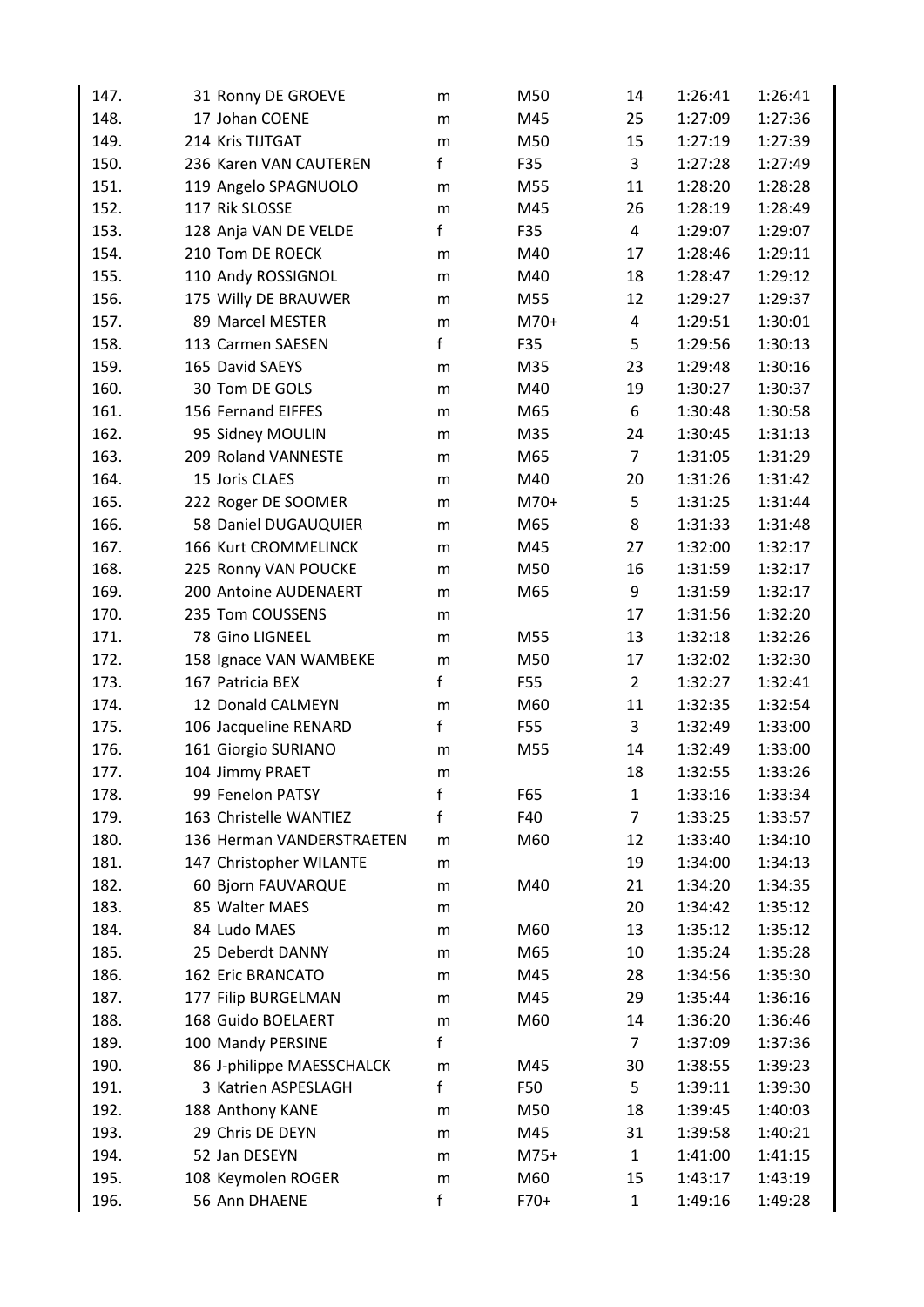| 147.         | 31 Ronny DE GROEVE                   | m         | M50        | 14             | 1:26:41 | 1:26:41            |
|--------------|--------------------------------------|-----------|------------|----------------|---------|--------------------|
| 148.         | 17 Johan COENE                       | m         | M45        | 25             | 1:27:09 | 1:27:36            |
| 149.         | 214 Kris TIJTGAT                     | m         | M50        | 15             | 1:27:19 | 1:27:39            |
| 150.         | 236 Karen VAN CAUTEREN               | f         | F35        | 3              | 1:27:28 | 1:27:49            |
| 151.         | 119 Angelo SPAGNUOLO                 | m         | M55        | 11             | 1:28:20 | 1:28:28            |
| 152.         | 117 Rik SLOSSE                       | m         | M45        | 26             | 1:28:19 | 1:28:49            |
| 153.         | 128 Anja VAN DE VELDE                | f         | F35        | 4              | 1:29:07 | 1:29:07            |
| 154.         | 210 Tom DE ROECK                     | m         | M40        | 17             | 1:28:46 | 1:29:11            |
| 155.         | 110 Andy ROSSIGNOL                   | m         | M40        | 18             | 1:28:47 | 1:29:12            |
| 156.         | 175 Willy DE BRAUWER                 | m         | M55        | 12             | 1:29:27 | 1:29:37            |
| 157.         | 89 Marcel MESTER                     | ${\sf m}$ | $M70+$     | 4              | 1:29:51 | 1:30:01            |
| 158.         | 113 Carmen SAESEN                    | f         | F35        | 5              | 1:29:56 | 1:30:13            |
| 159.         | 165 David SAEYS                      | m         | M35        | 23             | 1:29:48 | 1:30:16            |
| 160.         | 30 Tom DE GOLS                       | m         | M40        | 19             | 1:30:27 | 1:30:37            |
| 161.         | 156 Fernand EIFFES                   | m         | M65        | 6              | 1:30:48 | 1:30:58            |
| 162.         | 95 Sidney MOULIN                     | m         | M35        | 24             | 1:30:45 | 1:31:13            |
| 163.         | 209 Roland VANNESTE                  | ${\sf m}$ | M65        | $\overline{7}$ | 1:31:05 | 1:31:29            |
| 164.         | 15 Joris CLAES                       | m         | M40        | 20             | 1:31:26 | 1:31:42            |
| 165.         | 222 Roger DE SOOMER                  | m         | $M70+$     | 5              | 1:31:25 | 1:31:44            |
| 166.         | 58 Daniel DUGAUQUIER                 | m         | M65        | 8              | 1:31:33 | 1:31:48            |
| 167.         | 166 Kurt CROMMELINCK                 | m         | M45        | 27             | 1:32:00 | 1:32:17            |
| 168.         | 225 Ronny VAN POUCKE                 | m         | M50        | 16             | 1:31:59 | 1:32:17            |
| 169.         | 200 Antoine AUDENAERT                | m         | M65        | 9              | 1:31:59 | 1:32:17            |
| 170.         | 235 Tom COUSSENS                     | m         |            | 17             | 1:31:56 | 1:32:20            |
| 171.         | 78 Gino LIGNEEL                      | m         | M55        | 13             | 1:32:18 | 1:32:26            |
| 172.         | 158 Ignace VAN WAMBEKE               | ${\sf m}$ | M50        | 17             | 1:32:02 | 1:32:30            |
| 173.         | 167 Patricia BEX                     | f         | F55        | $\overline{2}$ | 1:32:27 | 1:32:41            |
| 174.         | 12 Donald CALMEYN                    | m         | M60        | 11             | 1:32:35 | 1:32:54            |
| 175.         | 106 Jacqueline RENARD                | f         | F55        | 3              | 1:32:49 | 1:33:00            |
| 176.         | 161 Giorgio SURIANO                  | m         | M55        | 14             | 1:32:49 | 1:33:00            |
| 177.         | 104 Jimmy PRAET                      | m         |            | 18             | 1:32:55 | 1:33:26            |
| 178.         | 99 Fenelon PATSY                     | f         | F65        | 1              | 1:33:16 | 1:33:34            |
| 179.         | 163 Christelle WANTIEZ               | f         | F40        | 7              | 1:33:25 | 1:33:57            |
| 180.         | 136 Herman VANDERSTRAETEN            | m         | M60        | 12             | 1:33:40 | 1:34:10            |
| 181.         | 147 Christopher WILANTE              | m         |            | 19             | 1:34:00 | 1:34:13            |
| 182.         | 60 Bjorn FAUVARQUE                   | m         | M40        | 21             | 1:34:20 | 1:34:35            |
| 183.         | 85 Walter MAES                       | m         |            | 20             | 1:34:42 | 1:35:12            |
| 184.         | 84 Ludo MAES                         | m         | M60        | 13             | 1:35:12 | 1:35:12            |
| 185.         | 25 Deberdt DANNY                     | m         | M65        | 10             | 1:35:24 | 1:35:28            |
| 186.         | 162 Eric BRANCATO                    | m         | M45        | 28             | 1:34:56 | 1:35:30            |
| 187.         | 177 Filip BURGELMAN                  | m         | M45        | 29             | 1:35:44 | 1:36:16            |
| 188.         | 168 Guido BOELAERT                   | ${\sf m}$ | M60        | 14             | 1:36:20 | 1:36:46            |
| 189.         | 100 Mandy PERSINE                    | f         |            | $\overline{7}$ | 1:37:09 | 1:37:36            |
| 190.         | 86 J-philippe MAESSCHALCK            | m         | M45        | 30             | 1:38:55 | 1:39:23            |
| 191.         | 3 Katrien ASPESLAGH                  | f         | F50        | 5              | 1:39:11 | 1:39:30            |
|              |                                      |           |            |                |         |                    |
| 192.<br>193. | 188 Anthony KANE<br>29 Chris DE DEYN | m         | M50<br>M45 | 18<br>31       | 1:39:45 | 1:40:03<br>1:40:21 |
| 194.         |                                      | m         |            |                | 1:39:58 |                    |
|              | 52 Jan DESEYN                        | m         | $M75+$     | 1              | 1:41:00 | 1:41:15            |
| 195.         | 108 Keymolen ROGER                   | m         | M60        | 15             | 1:43:17 | 1:43:19            |
| 196.         | 56 Ann DHAENE                        | f         | $F70+$     | $\mathbf{1}$   | 1:49:16 | 1:49:28            |